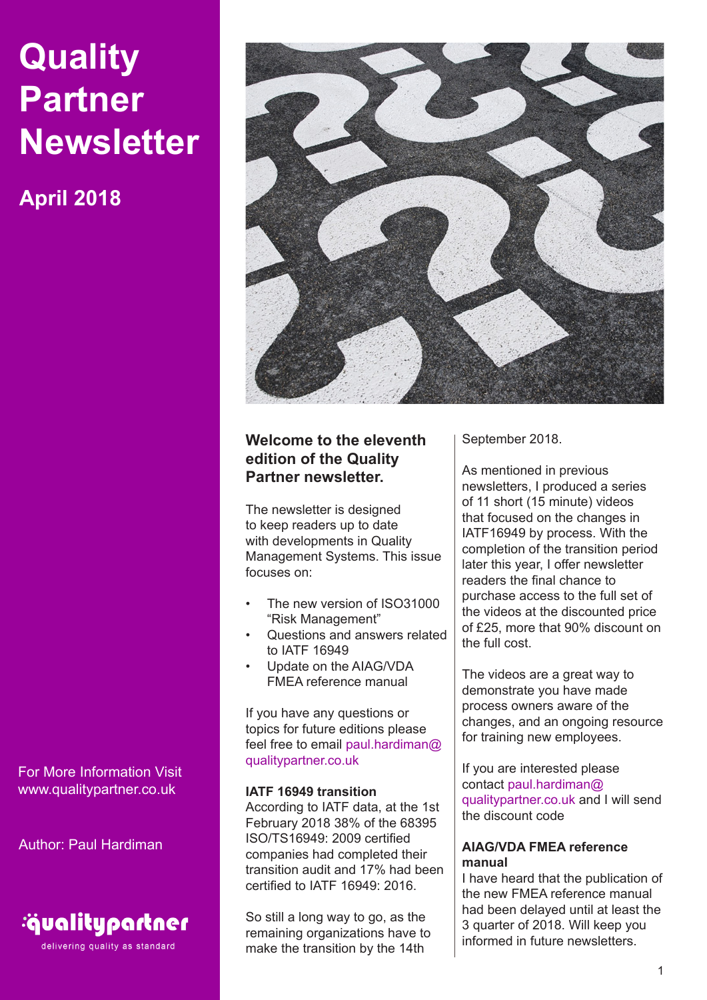# **Quality Partner Newsletter**

**April 2018**

For More Information Visit www.qualitypartner.co.uk

Author: Paul Hardiman



delivering quality as standard



# **Welcome to the eleventh edition of the Quality Partner newsletter.**

The newsletter is designed to keep readers up to date with developments in Quality Management Systems. This issue focuses on:

- The new version of ISO31000 "Risk Management"
- Questions and answers related to IATF 16949
- Update on the AIAG/VDA FMEA reference manual

If you have any questions or topics for future editions please feel free to email paul.hardiman@ qualitypartner.co.uk

# **IATF 16949 transition**

According to IATF data, at the 1st February 2018 38% of the 68395 ISO/TS16949: 2009 certified companies had completed their transition audit and 17% had been certified to IATF 16949: 2016.

So still a long way to go, as the remaining organizations have to make the transition by the 14th

September 2018.

As mentioned in previous newsletters, I produced a series of 11 short (15 minute) videos that focused on the changes in IATF16949 by process. With the completion of the transition period later this year, I offer newsletter readers the final chance to purchase access to the full set of the videos at the discounted price of £25, more that 90% discount on the full cost.

The videos are a great way to demonstrate you have made process owners aware of the changes, and an ongoing resource for training new employees.

If you are interested please contact paul.hardiman@ qualitypartner.co.uk and I will send the discount code

# **AIAG/VDA FMEA reference manual**

I have heard that the publication of the new FMEA reference manual had been delayed until at least the 3 quarter of 2018. Will keep you informed in future newsletters.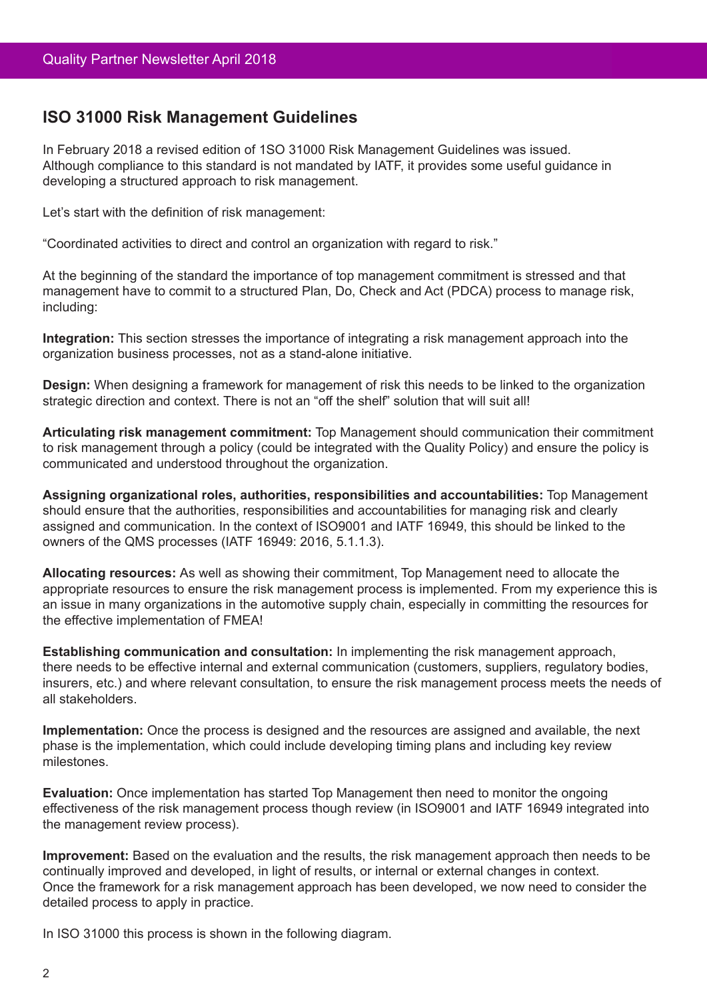# **ISO 31000 Risk Management Guidelines**

In February 2018 a revised edition of 1SO 31000 Risk Management Guidelines was issued. Although compliance to this standard is not mandated by IATF, it provides some useful guidance in developing a structured approach to risk management.

Let's start with the definition of risk management:

"Coordinated activities to direct and control an organization with regard to risk."

At the beginning of the standard the importance of top management commitment is stressed and that management have to commit to a structured Plan, Do, Check and Act (PDCA) process to manage risk, including:

**Integration:** This section stresses the importance of integrating a risk management approach into the organization business processes, not as a stand-alone initiative.

**Design:** When designing a framework for management of risk this needs to be linked to the organization strategic direction and context. There is not an "off the shelf" solution that will suit all!

**Articulating risk management commitment:** Top Management should communication their commitment to risk management through a policy (could be integrated with the Quality Policy) and ensure the policy is communicated and understood throughout the organization.

**Assigning organizational roles, authorities, responsibilities and accountabilities:** Top Management should ensure that the authorities, responsibilities and accountabilities for managing risk and clearly assigned and communication. In the context of ISO9001 and IATF 16949, this should be linked to the owners of the QMS processes (IATF 16949: 2016, 5.1.1.3).

**Allocating resources:** As well as showing their commitment, Top Management need to allocate the appropriate resources to ensure the risk management process is implemented. From my experience this is an issue in many organizations in the automotive supply chain, especially in committing the resources for the effective implementation of FMEA!

**Establishing communication and consultation:** In implementing the risk management approach, there needs to be effective internal and external communication (customers, suppliers, regulatory bodies, insurers, etc.) and where relevant consultation, to ensure the risk management process meets the needs of all stakeholders.

**Implementation:** Once the process is designed and the resources are assigned and available, the next phase is the implementation, which could include developing timing plans and including key review milestones.

**Evaluation:** Once implementation has started Top Management then need to monitor the ongoing effectiveness of the risk management process though review (in ISO9001 and IATF 16949 integrated into the management review process).

**Improvement:** Based on the evaluation and the results, the risk management approach then needs to be continually improved and developed, in light of results, or internal or external changes in context. Once the framework for a risk management approach has been developed, we now need to consider the detailed process to apply in practice.

In ISO 31000 this process is shown in the following diagram.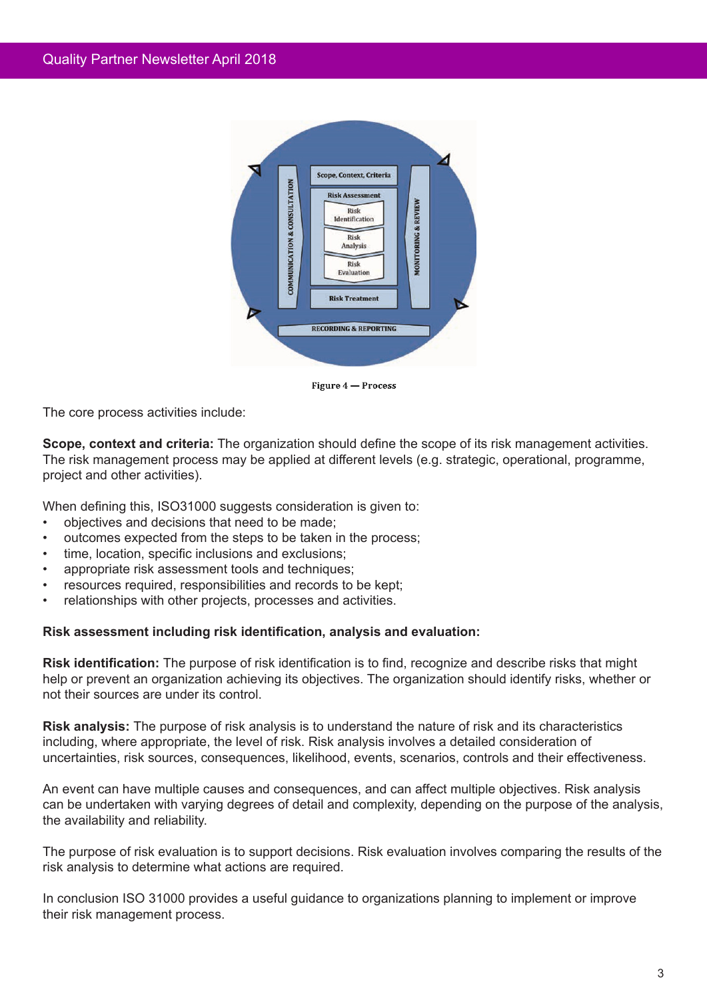

Figure 4 - Process

The core process activities include:

**Scope, context and criteria:** The organization should define the scope of its risk management activities. The risk management process may be applied at different levels (e.g. strategic, operational, programme, project and other activities).

When defining this, ISO31000 suggests consideration is given to:

- objectives and decisions that need to be made;
- outcomes expected from the steps to be taken in the process;
- time, location, specific inclusions and exclusions:
- appropriate risk assessment tools and techniques;
- resources required, responsibilities and records to be kept;
- relationships with other projects, processes and activities.

# **Risk assessment including risk identification, analysis and evaluation:**

**Risk identification:** The purpose of risk identification is to find, recognize and describe risks that might help or prevent an organization achieving its objectives. The organization should identify risks, whether or not their sources are under its control.

**Risk analysis:** The purpose of risk analysis is to understand the nature of risk and its characteristics including, where appropriate, the level of risk. Risk analysis involves a detailed consideration of uncertainties, risk sources, consequences, likelihood, events, scenarios, controls and their effectiveness.

An event can have multiple causes and consequences, and can affect multiple objectives. Risk analysis can be undertaken with varying degrees of detail and complexity, depending on the purpose of the analysis, the availability and reliability.

The purpose of risk evaluation is to support decisions. Risk evaluation involves comparing the results of the risk analysis to determine what actions are required.

In conclusion ISO 31000 provides a useful guidance to organizations planning to implement or improve their risk management process.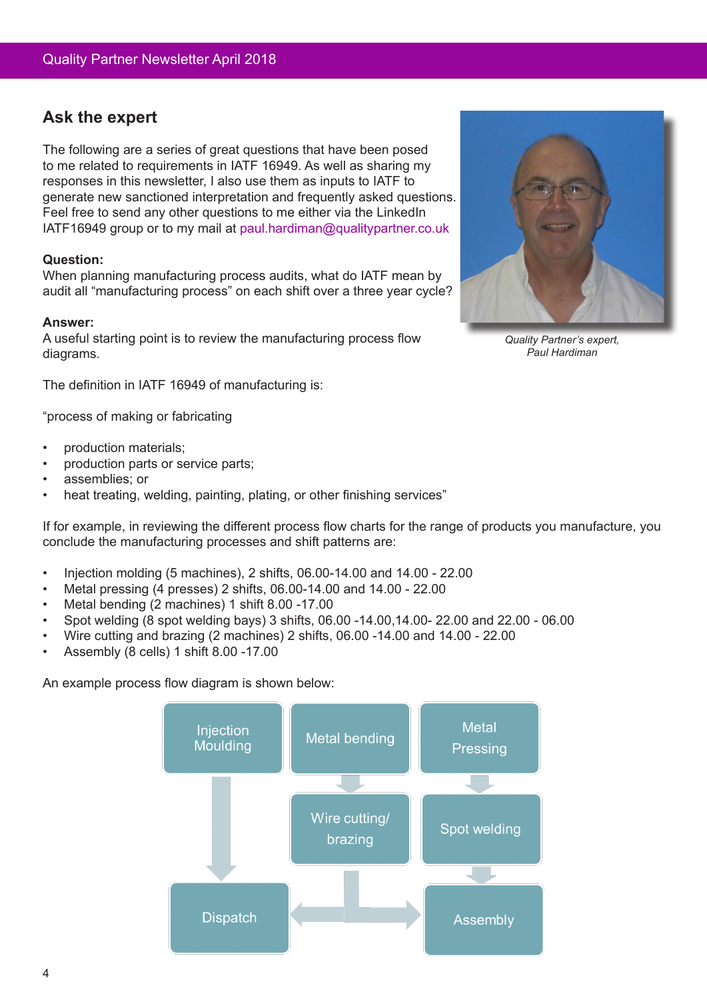# **Ask the expert**

The following are a series of great questions that have been posed to me related to requirements in IATF 16949. As well as sharing my responses in this newsletter, I also use them as inputs to IATF to generate new sanctioned interpretation and frequently asked questions. Feel free to send any other questions to me either via the LinkedIn IATF16949 group or to my mail at paul.hardiman@qualitypartner.co.uk

# **Question:**

When planning manufacturing process audits, what do IATF mean by audit all "manufacturing process" on each shift over a three year cycle?

## **Answer:**

A useful starting point is to review the manufacturing process flow diagrams.

The definition in IATF 16949 of manufacturing is:

"process of making or fabricating

- production materials;
- production parts or service parts;
- assemblies; or
- heat treating, welding, painting, plating, or other finishing services"

If for example, in reviewing the different process flow charts for the range of products you manufacture, you conclude the manufacturing processes and shift patterns are:

- Injection molding (5 machines), 2 shifts, 06.00-14.00 and 14.00 22.00
- Metal pressing (4 presses) 2 shifts, 06.00-14.00 and 14.00 22.00
- Metal bending (2 machines) 1 shift 8.00 -17.00
- Spot welding (8 spot welding bays) 3 shifts, 06.00 -14.00,14.00- 22.00 and 22.00 06.00
- Wire cutting and brazing (2 machines) 2 shifts, 06.00 -14.00 and 14.00 22.00
- Assembly (8 cells) 1 shift 8.00 -17.00

An example process flow diagram is shown below:





*Quality Partner's expert, Paul Hardiman*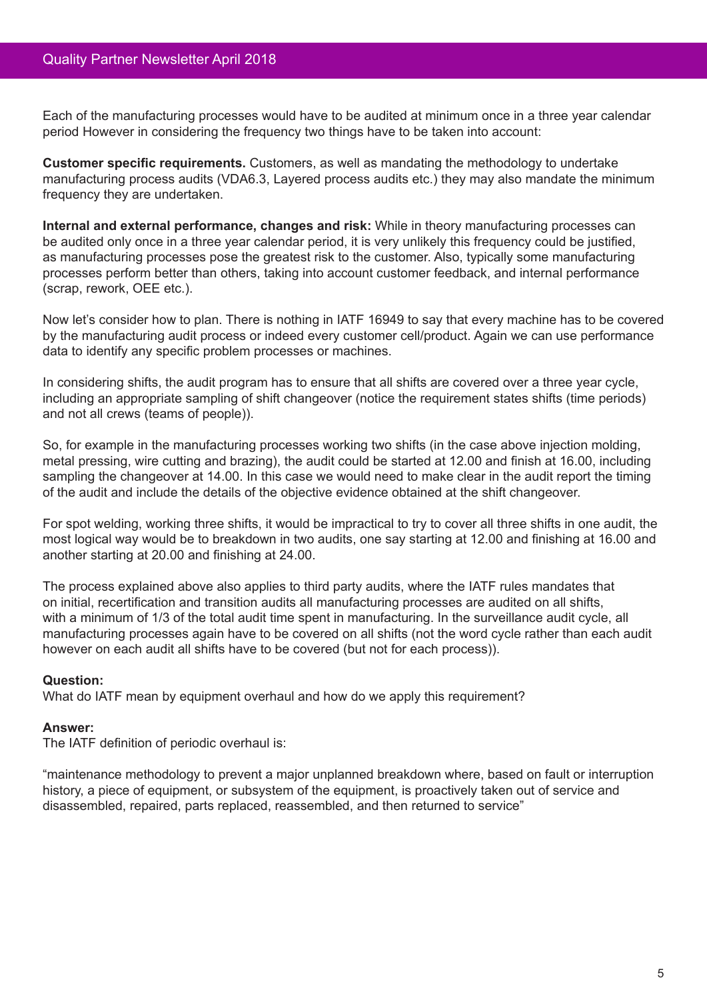Each of the manufacturing processes would have to be audited at minimum once in a three year calendar period However in considering the frequency two things have to be taken into account:

**Customer specific requirements.** Customers, as well as mandating the methodology to undertake manufacturing process audits (VDA6.3, Layered process audits etc.) they may also mandate the minimum frequency they are undertaken.

**Internal and external performance, changes and risk:** While in theory manufacturing processes can be audited only once in a three year calendar period, it is very unlikely this frequency could be justified, as manufacturing processes pose the greatest risk to the customer. Also, typically some manufacturing processes perform better than others, taking into account customer feedback, and internal performance (scrap, rework, OEE etc.).

Now let's consider how to plan. There is nothing in IATF 16949 to say that every machine has to be covered by the manufacturing audit process or indeed every customer cell/product. Again we can use performance data to identify any specific problem processes or machines.

In considering shifts, the audit program has to ensure that all shifts are covered over a three year cycle, including an appropriate sampling of shift changeover (notice the requirement states shifts (time periods) and not all crews (teams of people)).

So, for example in the manufacturing processes working two shifts (in the case above injection molding, metal pressing, wire cutting and brazing), the audit could be started at 12.00 and finish at 16.00, including sampling the changeover at 14.00. In this case we would need to make clear in the audit report the timing of the audit and include the details of the objective evidence obtained at the shift changeover.

For spot welding, working three shifts, it would be impractical to try to cover all three shifts in one audit, the most logical way would be to breakdown in two audits, one say starting at 12.00 and finishing at 16.00 and another starting at 20.00 and finishing at 24.00.

The process explained above also applies to third party audits, where the IATF rules mandates that on initial, recertification and transition audits all manufacturing processes are audited on all shifts, with a minimum of 1/3 of the total audit time spent in manufacturing. In the surveillance audit cycle, all manufacturing processes again have to be covered on all shifts (not the word cycle rather than each audit however on each audit all shifts have to be covered (but not for each process)).

# **Question:**

What do IATF mean by equipment overhaul and how do we apply this requirement?

#### **Answer:**

The IATF definition of periodic overhaul is:

"maintenance methodology to prevent a major unplanned breakdown where, based on fault or interruption history, a piece of equipment, or subsystem of the equipment, is proactively taken out of service and disassembled, repaired, parts replaced, reassembled, and then returned to service"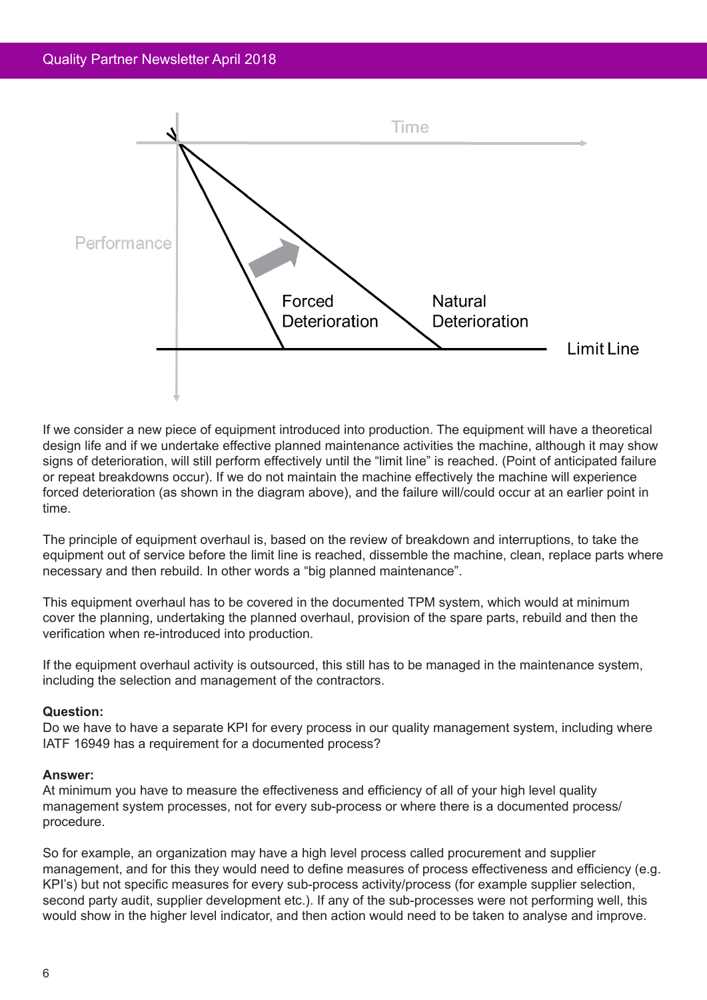

If we consider a new piece of equipment introduced into production. The equipment will have a theoretical design life and if we undertake effective planned maintenance activities the machine, although it may show signs of deterioration, will still perform effectively until the "limit line" is reached. (Point of anticipated failure or repeat breakdowns occur). If we do not maintain the machine effectively the machine will experience forced deterioration (as shown in the diagram above), and the failure will/could occur at an earlier point in time.

The principle of equipment overhaul is, based on the review of breakdown and interruptions, to take the equipment out of service before the limit line is reached, dissemble the machine, clean, replace parts where necessary and then rebuild. In other words a "big planned maintenance".

This equipment overhaul has to be covered in the documented TPM system, which would at minimum cover the planning, undertaking the planned overhaul, provision of the spare parts, rebuild and then the verification when re-introduced into production.

If the equipment overhaul activity is outsourced, this still has to be managed in the maintenance system, including the selection and management of the contractors.

#### **Question:**

Do we have to have a separate KPI for every process in our quality management system, including where IATF 16949 has a requirement for a documented process?

#### **Answer:**

At minimum you have to measure the effectiveness and efficiency of all of your high level quality management system processes, not for every sub-process or where there is a documented process/ procedure.

So for example, an organization may have a high level process called procurement and supplier management, and for this they would need to define measures of process effectiveness and efficiency (e.g. KPI's) but not specific measures for every sub-process activity/process (for example supplier selection, second party audit, supplier development etc.). If any of the sub-processes were not performing well, this would show in the higher level indicator, and then action would need to be taken to analyse and improve.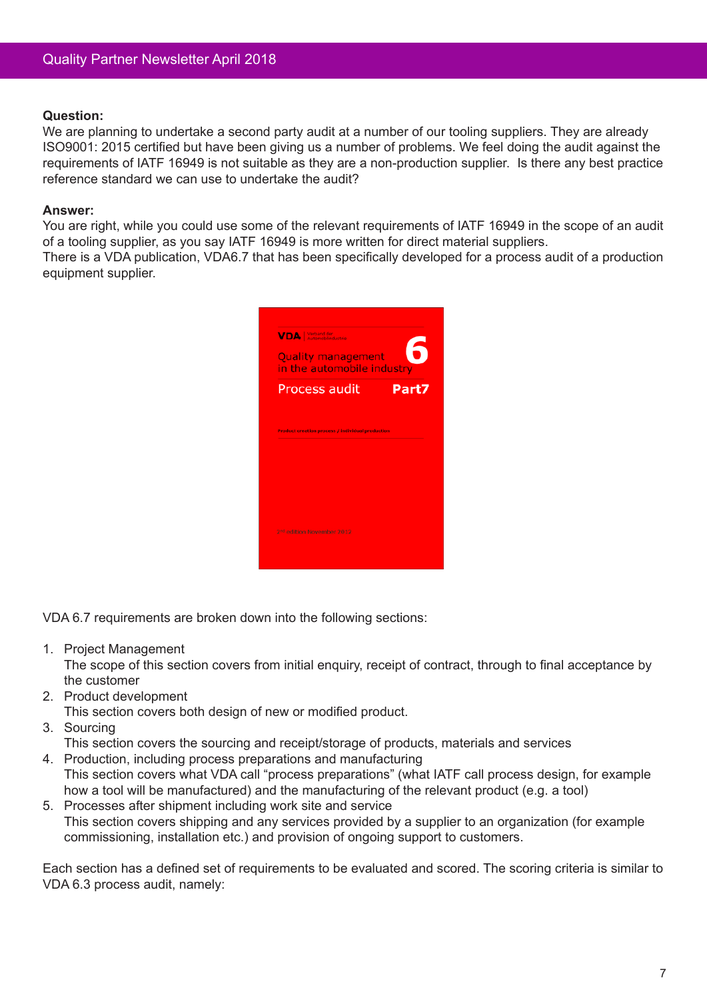## **Question:**

We are planning to undertake a second party audit at a number of our tooling suppliers. They are already ISO9001: 2015 certified but have been giving us a number of problems. We feel doing the audit against the requirements of IATF 16949 is not suitable as they are a non-production supplier. Is there any best practice reference standard we can use to undertake the audit?

## **Answer:**

You are right, while you could use some of the relevant requirements of IATF 16949 in the scope of an audit of a tooling supplier, as you say IATF 16949 is more written for direct material suppliers.

There is a VDA publication, VDA6.7 that has been specifically developed for a process audit of a production equipment supplier.



VDA 6.7 requirements are broken down into the following sections:

1. Project Management

The scope of this section covers from initial enquiry, receipt of contract, through to final acceptance by the customer

2. Product development

This section covers both design of new or modified product.

3. Sourcing

This section covers the sourcing and receipt/storage of products, materials and services

- 4. Production, including process preparations and manufacturing This section covers what VDA call "process preparations" (what IATF call process design, for example how a tool will be manufactured) and the manufacturing of the relevant product (e.g. a tool)
- 5. Processes after shipment including work site and service This section covers shipping and any services provided by a supplier to an organization (for example commissioning, installation etc.) and provision of ongoing support to customers.

Each section has a defined set of requirements to be evaluated and scored. The scoring criteria is similar to VDA 6.3 process audit, namely: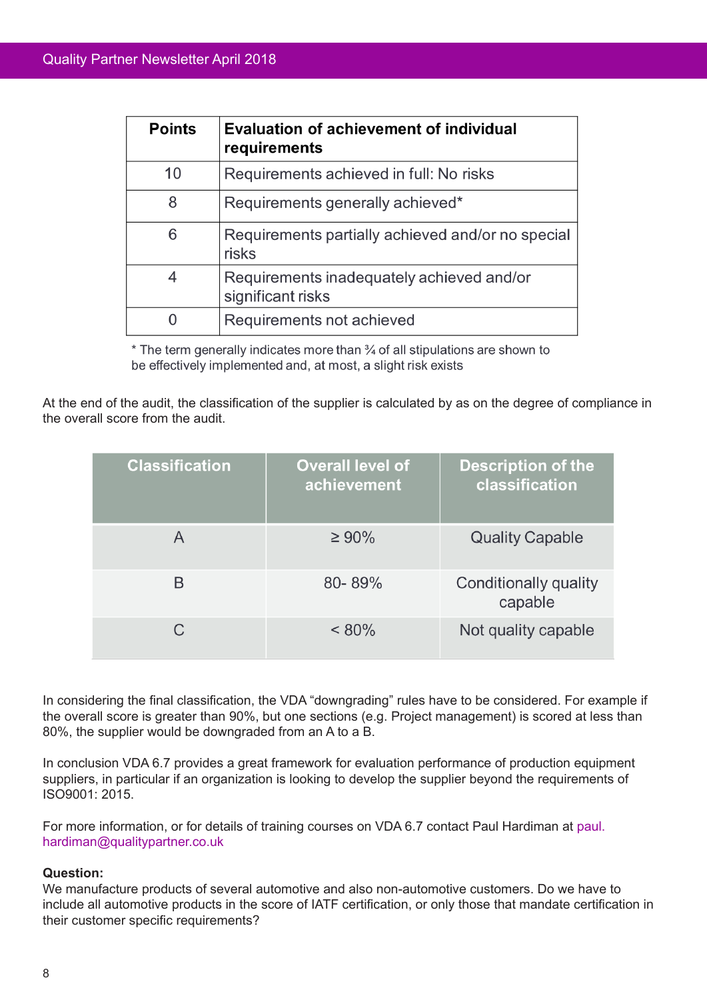| <b>Points</b> | <b>Evaluation of achievement of individual</b><br>requirements |  |
|---------------|----------------------------------------------------------------|--|
| 10            | Requirements achieved in full: No risks                        |  |
| 8             | Requirements generally achieved*                               |  |
| 6             | Requirements partially achieved and/or no special<br>risks     |  |
| 4             | Requirements inadequately achieved and/or<br>significant risks |  |
|               | Requirements not achieved                                      |  |

\* The term generally indicates more than 34 of all stipulations are shown to be effectively implemented and, at most, a slight risk exists

At the end of the audit, the classification of the supplier is calculated by as on the degree of compliance in the overall score from the audit.

| <b>Classification</b> | <b>Overall level of</b><br>achievement | <b>Description of the</b><br>classification |
|-----------------------|----------------------------------------|---------------------------------------------|
|                       | $\geq 90\%$                            | <b>Quality Capable</b>                      |
| B                     | $80 - 89%$                             | Conditionally quality<br>capable            |
| C.                    | $< 80\%$                               | Not quality capable                         |

In considering the final classification, the VDA "downgrading" rules have to be considered. For example if the overall score is greater than 90%, but one sections (e.g. Project management) is scored at less than 80%, the supplier would be downgraded from an A to a B.

In conclusion VDA 6.7 provides a great framework for evaluation performance of production equipment suppliers, in particular if an organization is looking to develop the supplier beyond the requirements of ISO9001: 2015.

For more information, or for details of training courses on VDA 6.7 contact Paul Hardiman at paul. hardiman@qualitypartner.co.uk

# **Question:**

We manufacture products of several automotive and also non-automotive customers. Do we have to include all automotive products in the score of IATF certification, or only those that mandate certification in their customer specific requirements?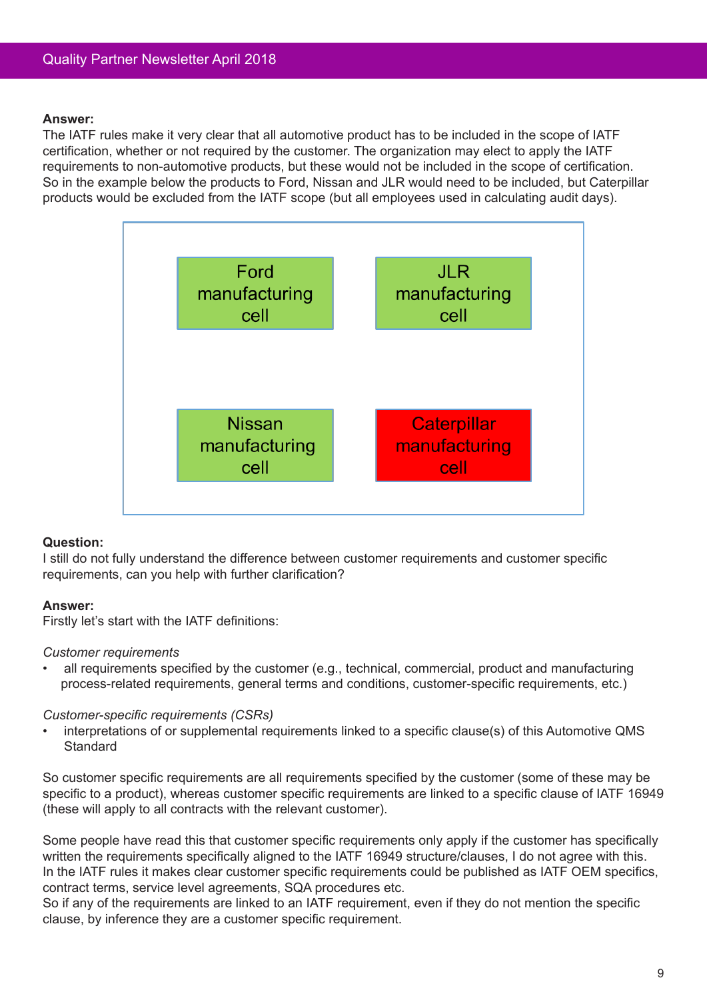## **Answer:**

The IATF rules make it very clear that all automotive product has to be included in the scope of IATF certification, whether or not required by the customer. The organization may elect to apply the IATF requirements to non-automotive products, but these would not be included in the scope of certification. So in the example below the products to Ford, Nissan and JLR would need to be included, but Caterpillar products would be excluded from the IATF scope (but all employees used in calculating audit days).



# **Question:**

I still do not fully understand the difference between customer requirements and customer specific requirements, can you help with further clarification?

# **Answer:**

Firstly let's start with the IATF definitions:

#### *Customer requirements*

all requirements specified by the customer (e.g., technical, commercial, product and manufacturing process-related requirements, general terms and conditions, customer-specific requirements, etc.)

#### *Customer-specific requirements (CSRs)*

interpretations of or supplemental requirements linked to a specific clause(s) of this Automotive QMS **Standard** 

So customer specific requirements are all requirements specified by the customer (some of these may be specific to a product), whereas customer specific requirements are linked to a specific clause of IATF 16949 (these will apply to all contracts with the relevant customer).

Some people have read this that customer specific requirements only apply if the customer has specifically written the requirements specifically aligned to the IATF 16949 structure/clauses, I do not agree with this. In the IATF rules it makes clear customer specific requirements could be published as IATF OEM specifics, contract terms, service level agreements, SQA procedures etc.

So if any of the requirements are linked to an IATF requirement, even if they do not mention the specific clause, by inference they are a customer specific requirement.